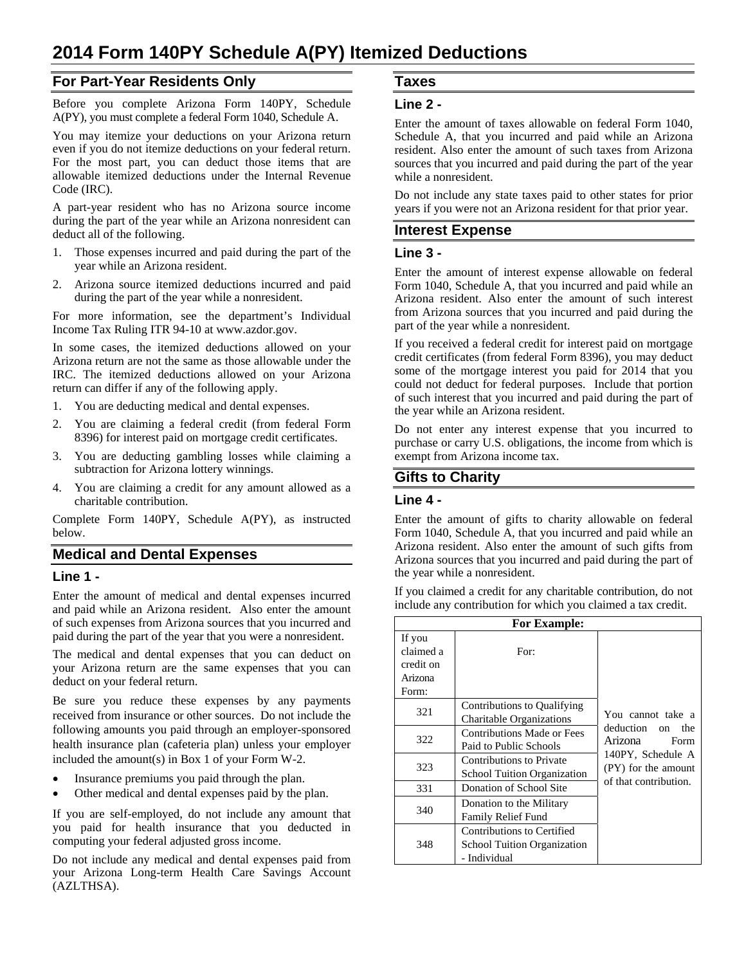## **For Part-Year Residents Only**

Before you complete Arizona Form 140PY, Schedule A(PY), you must complete a federal Form 1040, Schedule A.

You may itemize your deductions on your Arizona return even if you do not itemize deductions on your federal return. For the most part, you can deduct those items that are allowable itemized deductions under the Internal Revenue Code (IRC).

A part-year resident who has no Arizona source income during the part of the year while an Arizona nonresident can deduct all of the following.

- 1. Those expenses incurred and paid during the part of the year while an Arizona resident.
- 2. Arizona source itemized deductions incurred and paid during the part of the year while a nonresident.

For more information, see the department's Individual Income Tax Ruling ITR 94-10 at www.azdor.gov.

In some cases, the itemized deductions allowed on your Arizona return are not the same as those allowable under the IRC. The itemized deductions allowed on your Arizona return can differ if any of the following apply.

- 1. You are deducting medical and dental expenses.
- 2. You are claiming a federal credit (from federal Form 8396) for interest paid on mortgage credit certificates.
- 3. You are deducting gambling losses while claiming a subtraction for Arizona lottery winnings.
- 4. You are claiming a credit for any amount allowed as a charitable contribution.

Complete Form 140PY, Schedule A(PY), as instructed below.

#### **Medical and Dental Expenses**

#### **Line 1 -**

Enter the amount of medical and dental expenses incurred and paid while an Arizona resident. Also enter the amount of such expenses from Arizona sources that you incurred and paid during the part of the year that you were a nonresident.

The medical and dental expenses that you can deduct on your Arizona return are the same expenses that you can deduct on your federal return.

Be sure you reduce these expenses by any payments received from insurance or other sources. Do not include the following amounts you paid through an employer-sponsored health insurance plan (cafeteria plan) unless your employer included the amount(s) in Box 1 of your Form W-2.

- Insurance premiums you paid through the plan.
- Other medical and dental expenses paid by the plan.

If you are self-employed, do not include any amount that you paid for health insurance that you deducted in computing your federal adjusted gross income.

Do not include any medical and dental expenses paid from your Arizona Long-term Health Care Savings Account (AZLTHSA).

# **Taxes**

#### **Line 2 -**

Enter the amount of taxes allowable on federal Form 1040, Schedule A, that you incurred and paid while an Arizona resident. Also enter the amount of such taxes from Arizona sources that you incurred and paid during the part of the year while a nonresident.

Do not include any state taxes paid to other states for prior years if you were not an Arizona resident for that prior year.

## **Interest Expense**

#### **Line 3 -**

Enter the amount of interest expense allowable on federal Form 1040, Schedule A, that you incurred and paid while an Arizona resident. Also enter the amount of such interest from Arizona sources that you incurred and paid during the part of the year while a nonresident.

If you received a federal credit for interest paid on mortgage credit certificates (from federal Form 8396), you may deduct some of the mortgage interest you paid for 2014 that you could not deduct for federal purposes. Include that portion of such interest that you incurred and paid during the part of the year while an Arizona resident.

Do not enter any interest expense that you incurred to purchase or carry U.S. obligations, the income from which is exempt from Arizona income tax.

## **Gifts to Charity**

#### **Line 4 -**

Enter the amount of gifts to charity allowable on federal Form 1040, Schedule A, that you incurred and paid while an Arizona resident. Also enter the amount of such gifts from Arizona sources that you incurred and paid during the part of the year while a nonresident.

If you claimed a credit for any charitable contribution, do not include any contribution for which you claimed a tax credit.

| <b>For Example:</b>                                  |                                                                                  |                                                                                                                                  |
|------------------------------------------------------|----------------------------------------------------------------------------------|----------------------------------------------------------------------------------------------------------------------------------|
| If you<br>claimed a<br>credit on<br>Arizona<br>Form: | For:                                                                             |                                                                                                                                  |
| 321                                                  | Contributions to Qualifying<br>Charitable Organizations                          | You cannot take a<br>deduction on<br>the<br>Arizona<br>Form<br>140PY, Schedule A<br>(PY) for the amount<br>of that contribution. |
| 322                                                  | Contributions Made or Fees<br>Paid to Public Schools                             |                                                                                                                                  |
| 323                                                  | <b>Contributions to Private</b><br><b>School Tuition Organization</b>            |                                                                                                                                  |
| 331                                                  | Donation of School Site                                                          |                                                                                                                                  |
| 340                                                  | Donation to the Military<br><b>Family Relief Fund</b>                            |                                                                                                                                  |
| 348                                                  | Contributions to Certified<br><b>School Tuition Organization</b><br>- Individual |                                                                                                                                  |